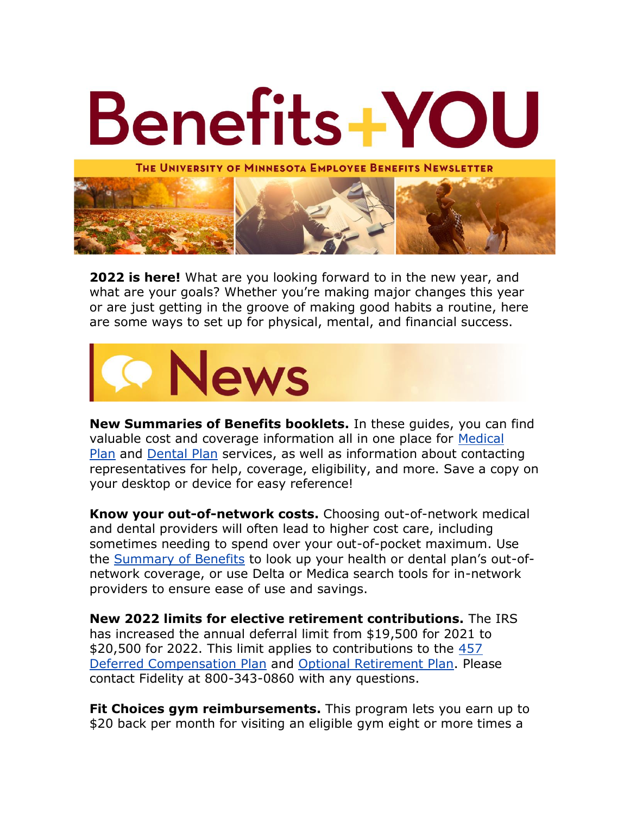

**2022 is here!** What are you looking forward to in the new year, and what are your goals? Whether you're making major changes this year or are just getting in the groove of making good habits a routine, here are some ways to set up for physical, mental, and financial success.



**New Summaries of Benefits booklets.** In these guides, you can find valuable cost and coverage information all in one place for [Medical](https://humanresources.umn.edu/sites/humanresources.umn.edu/files/medical_summary_112_pages_12.15.21_online.pdf)  [Plan](https://humanresources.umn.edu/sites/humanresources.umn.edu/files/medical_summary_112_pages_12.15.21_online.pdf) and [Dental Plan](https://humanresources.umn.edu/sites/humanresources.umn.edu/files/dental_summary_2022_12.15.21-online.pdf) services, as well as information about contacting representatives for help, coverage, eligibility, and more. Save a copy on your desktop or device for easy reference!

**Know your out-of-network costs.** Choosing out-of-network medical and dental providers will often lead to higher cost care, including sometimes needing to spend over your out-of-pocket maximum. Use the **[Summary of Benefits](https://humanresources.umn.edu/sites/humanresources.umn.edu/files/medical_summary_112_pages_12.15.21_online.pdf)** to look up your health or dental plan's out-ofnetwork coverage, or use Delta or Medica search tools for in-network providers to ensure ease of use and savings.

**New 2022 limits for elective retirement contributions.** The IRS has increased the annual deferral limit from \$19,500 for 2021 to \$20,500 for 2022. This limit applies to contributions to the 457 [Deferred Compensation Plan](https://humanresources.umn.edu/retirement-savings/section-457-deferred-compensation-plan) and [Optional Retirement Plan.](https://humanresources.umn.edu/retirement-savings/optional-retirement-plan) Please contact Fidelity at 800-343-0860 with any questions.

**Fit Choices gym reimbursements.** This program lets you earn up to \$20 back per month for visiting an eligible gym eight or more times a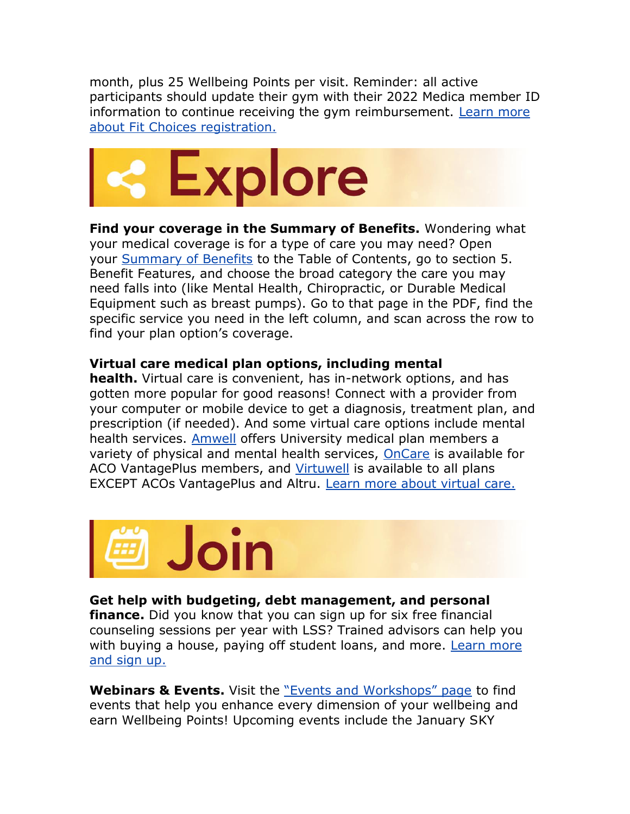month, plus 25 Wellbeing Points per visit. Reminder: all active participants should update their gym with their 2022 Medica member ID information to continue receiving the gym reimbursement. [Learn more](https://www.medica.com/wellness/health-club-reimbursement-fit-choices)  [about Fit Choices registration.](https://www.medica.com/wellness/health-club-reimbursement-fit-choices)



**Find your coverage in the Summary of Benefits.** Wondering what your medical coverage is for a type of care you may need? Open your [Summary of Benefits](https://humanresources.umn.edu/sites/humanresources.umn.edu/files/medical_summary_112_pages_12.15.21_online.pdf) to the Table of Contents, go to section 5. Benefit Features, and choose the broad category the care you may need falls into (like Mental Health, Chiropractic, or Durable Medical Equipment such as breast pumps). Go to that page in the PDF, find the specific service you need in the left column, and scan across the row to find your plan option's coverage.

## **Virtual care medical plan options, including mental**

**health.** Virtual care is convenient, has in-network options, and has gotten more popular for good reasons! Connect with a provider from your computer or mobile device to get a diagnosis, treatment plan, and prescription (if needed). And some virtual care options include mental health services. [Amwell](https://patients.amwell.com/) offers University medical plan members a variety of physical and mental health services, [OnCare](https://oncare.org/) is available for ACO VantagePlus members, and [Virtuwell](https://www.virtuwell.com/) is available to all plans EXCEPT ACOs VantagePlus and Altru. [Learn more about virtual care.](https://humanresources.umn.edu/medical-plans/virtual-care)



## **Get help with budgeting, debt management, and personal**

**finance.** Did you know that you can sign up for six free financial counseling sessions per year with LSS? Trained advisors can help you with buying a house, paying off student loans, and more. Learn more [and sign up.](https://www.lssmn.org/financialcounseling/UMN)

**Webinars & Events.** Visit the ["Events and Workshops" page](https://humanresources.umn.edu/benefits/workshops-events) to find events that help you enhance every dimension of your wellbeing and earn Wellbeing Points! Upcoming events include the January SKY